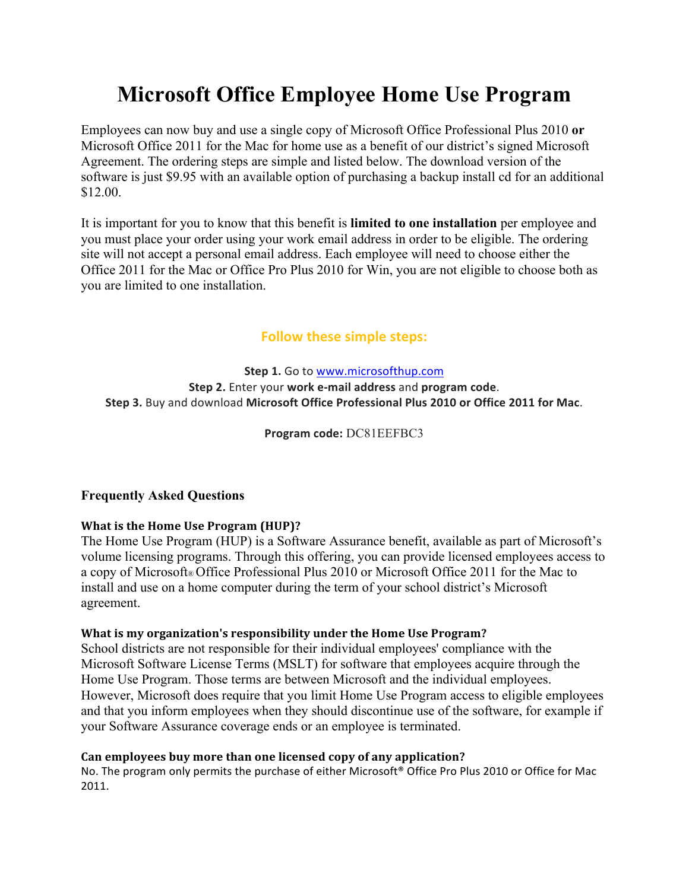# **Microsoft Office Employee Home Use Program**

Employees can now buy and use a single copy of Microsoft Office Professional Plus 2010 **or** Microsoft Office 2011 for the Mac for home use as a benefit of our district's signed Microsoft Agreement. The ordering steps are simple and listed below. The download version of the software is just \$9.95 with an available option of purchasing a backup install cd for an additional \$12.00.

It is important for you to know that this benefit is **limited to one installation** per employee and you must place your order using your work email address in order to be eligible. The ordering site will not accept a personal email address. Each employee will need to choose either the Office 2011 for the Mac or Office Pro Plus 2010 for Win, you are not eligible to choose both as you are limited to one installation.

# **Follow these simple steps:**

**Step 1.** Go to www.microsofthup.com **Step 2.** Enter your **work e-mail address** and **program** code. **Step 3.** Buy and download **Microsoft Office Professional Plus 2010 or Office 2011 for Mac**.

**Program code:** DC81EEFBC3

## **Frequently Asked Questions**

## **What is the Home Use Program (HUP)?**

The Home Use Program (HUP) is a Software Assurance benefit, available as part of Microsoft's volume licensing programs. Through this offering, you can provide licensed employees access to a copy of Microsoft® Office Professional Plus 2010 or Microsoft Office 2011 for the Mac to install and use on a home computer during the term of your school district's Microsoft agreement.

#### What is my organization's responsibility under the Home Use Program?

School districts are not responsible for their individual employees' compliance with the Microsoft Software License Terms (MSLT) for software that employees acquire through the Home Use Program. Those terms are between Microsoft and the individual employees. However, Microsoft does require that you limit Home Use Program access to eligible employees and that you inform employees when they should discontinue use of the software, for example if your Software Assurance coverage ends or an employee is terminated.

## Can employees buy more than one licensed copy of any application?

No. The program only permits the purchase of either Microsoft® Office Pro Plus 2010 or Office for Mac 2011.